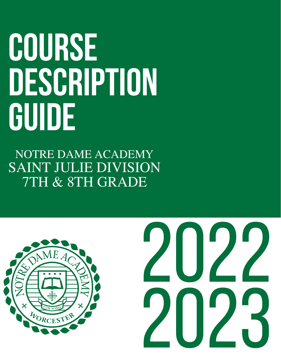# **COURSE DESCRIPTION GUIDE**

NOTRE DAME ACADEMY SAINT JULIE DIVISION 7TH & 8TH GRADE

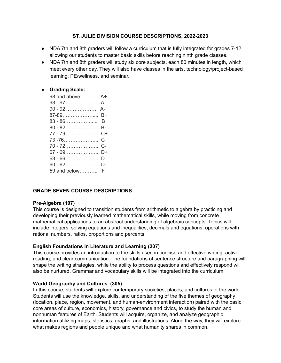# **ST. JULIE DIVISION COURSE DESCRIPTIONS, 2022-2023**

- NDA 7th and 8th graders will follow a curriculum that is fully integrated for grades 7-12, allowing our students to master basic skills before reaching ninth grade classes.
- NDA 7th and 8th graders will study six core subjects, each 80 minutes in length, which meet every other day. They will also have classes in the arts, technology/project-based learning, PE/wellness, and seminar.

# **● Grading Scale:**

| 98 and above A+ |    |
|-----------------|----|
|                 |    |
| 90 - 92  A-     |    |
| 87-89           | B+ |
|                 |    |
| 80 - 82  B-     |    |
| $77 - 79$       | C+ |
|                 | C. |
| $70 - 72$       | C- |
| $67 - 69$       | D+ |
| $63 - 66$       | D  |
| $60 - 62$       | D- |
| 59 and below F  |    |

# **GRADE SEVEN COURSE DESCRIPTIONS**

# **Pre-Algebra (107)**

This course is designed to transition students from arithmetic to algebra by practicing and developing their previously learned mathematical skills, while moving from concrete mathematical applications to an abstract understanding of algebraic concepts. Topics will include integers, solving equations and inequalities, decimals and equations, operations with rational numbers, ratios, proportions and percents

# **English Foundations in Literature and Learning (207)**

This course provides an introduction to the skills used in concise and effective writing, active reading, and clear communication. The foundations of sentence structure and paragraphing will shape the writing strategies, while the ability to process questions and effectively respond will also be nurtured. Grammar and vocabulary skills will be integrated into the curriculum.

# **World Geography and Cultures (305)**

In this course, students will explore contemporary societies, places, and cultures of the world. Students will use the knowledge, skills, and understanding of the five themes of geography (location, place, region, movement, and human-environment interaction) paired with the basic core areas of culture, economics, history, governance and civics, to study the human and nonhuman features of Earth. Students will acquire, organize, and analyze geographic information utilizing maps, statistics, graphs, and illustrations. Along the way, they will explore what makes regions and people unique and what humanity shares in common.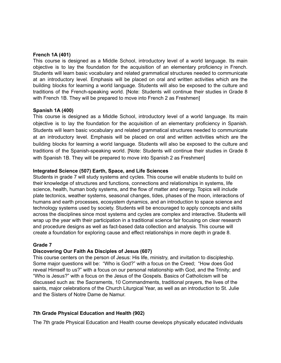#### **French 1A (401)**

This course is designed as a Middle School, introductory level of a world language. Its main objective is to lay the foundation for the acquisition of an elementary proficiency in French. Students will learn basic vocabulary and related grammatical structures needed to communicate at an introductory level. Emphasis will be placed on oral and written activities which are the building blocks for learning a world language. Students will also be exposed to the culture and traditions of the French-speaking world. [Note: Students will continue their studies in Grade 8 with French 1B. They will be prepared to move into French 2 as Freshmen]

#### **Spanish 1A (400)**

This course is designed as a Middle School, introductory level of a world language. Its main objective is to lay the foundation for the acquisition of an elementary proficiency in Spanish. Students will learn basic vocabulary and related grammatical structures needed to communicate at an introductory level. Emphasis will be placed on oral and written activities which are the building blocks for learning a world language. Students will also be exposed to the culture and traditions of the Spanish-speaking world. [Note: Students will continue their studies in Grade 8 with Spanish 1B. They will be prepared to move into Spanish 2 as Freshmen]

#### **Integrated Science (507) Earth, Space, and Life Sciences**

Students in grade 7 will study systems and cycles. This course will enable students to build on their knowledge of structures and functions, connections and relationships in systems, life science, health, human body systems, and the flow of matter and energy. Topics will include plate tectonics, weather systems, seasonal changes, tides, phases of the moon, interactions of humans and earth processes, ecosystem dynamics, and an introduction to space science and technology systems used by society. Students will be encouraged to apply concepts and skills across the disciplines since most systems and cycles are complex and interactive. Students will wrap up the year with their participation in a traditional science fair focusing on clear research and procedure designs as well as fact-based data collection and analysis. This course will create a foundation for exploring cause and effect relationships in more depth in grade 8.

# **Grade 7**

# **Discovering Our Faith As Disciples of Jesus (607)**

This course centers on the person of Jesus: His life, ministry, and invitation to discipleship. Some major questions will be: "Who is God?" with a focus on the Creed; "How does God reveal Himself to us?" with a focus on our personal relationship with God, and the Trinity; and "Who is Jesus?" with a focus on the Jesus of the Gospels. Basics of Catholicism will be discussed such as: the Sacraments, 10 Commandments, traditional prayers, the lives of the saints, major celebrations of the Church Liturgical Year, as well as an introduction to St. Julie and the Sisters of Notre Dame de Namur.

# **7th Grade Physical Education and Health (902)**

The 7th grade Physical Education and Health course develops physically educated individuals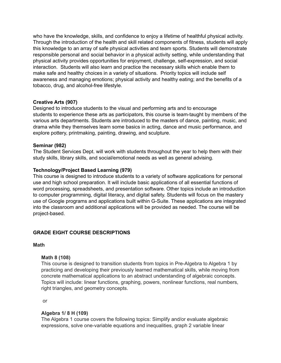who have the knowledge, skills, and confidence to enjoy a lifetime of healthful physical activity. Through the introduction of the health and skill related components of fitness, students will apply this knowledge to an array of safe physical activities and team sports. Students will demonstrate responsible personal and social behavior in a physical activity setting, while understanding that physical activity provides opportunities for enjoyment, challenge, self-expression, and social interaction. Students will also learn and practice the necessary skills which enable them to make safe and healthy choices in a variety of situations. Priority topics will include self awareness and managing emotions; physical activity and healthy eating; and the benefits of a tobacco, drug, and alcohol-free lifestyle.

# **Creative Arts (907)**

Designed to introduce students to the visual and performing arts and to encourage students to experience these arts as participators, this course is team-taught by members of the various arts departments. Students are introduced to the masters of dance, painting, music, and drama while they themselves learn some basics in acting, dance and music performance, and explore pottery, printmaking, painting, drawing, and sculpture.

# **Seminar (982)**

The Student Services Dept. will work with students throughout the year to help them with their study skills, library skills, and social/emotional needs as well as general advising.

# **Technology/Project Based Learning (979)**

This course is designed to introduce students to a variety of software applications for personal use and high school preparation. It will include basic applications of all essential functions of word processing, spreadsheets, and presentation software. Other topics include an introduction to computer programming, digital literacy, and digital safety. Students will focus on the mastery use of Google programs and applications built within G-Suite. These applications are integrated into the classroom and additional applications will be provided as needed. The course will be project-based.

# **GRADE EIGHT COURSE DESCRIPTIONS**

#### **Math**

# **Math 8 (108)**

This course is designed to transition students from topics in Pre-Algebra to Algebra 1 by practicing and developing their previously learned mathematical skills, while moving from concrete mathematical applications to an abstract understanding of algebraic concepts. Topics will include: linear functions, graphing, powers, nonlinear functions, real numbers, right triangles, and geometry concepts.

or

# **Algebra 1/ 8 H (109)**

The Algebra 1 course covers the following topics: Simplify and/or evaluate algebraic expressions, solve one-variable equations and inequalities, graph 2 variable linear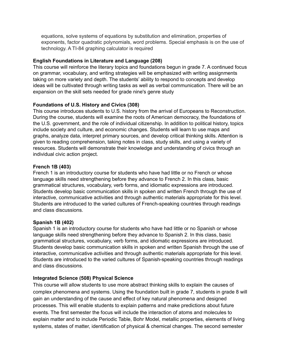equations, solve systems of equations by substitution and elimination, properties of exponents, factor quadratic polynomials, word problems. Special emphasis is on the use of technology. A TI-84 graphing calculator is required

# **English Foundations in Literature and Language (208)**

This course will reinforce the literary topics and foundations begun in grade 7. A continued focus on grammar, vocabulary, and writing strategies will be emphasized with writing assignments taking on more variety and depth. The students' ability to respond to concepts and develop ideas will be cultivated through writing tasks as well as verbal communication. There will be an expansion on the skill sets needed for grade nine's genre study

# **Foundations of U.S. History and Civics (308)**

This course introduces students to U.S. history from the arrival of Europeans to Reconstruction. During the course, students will examine the roots of American democracy, the foundations of the U.S. government, and the role of individual citizenship. In addition to political history, topics include society and culture, and economic changes. Students will learn to use maps and graphs, analyze data, interpret primary sources, and develop critical thinking skills. Attention is given to reading comprehension, taking notes in class, study skills, and using a variety of resources. Students will demonstrate their knowledge and understanding of civics through an individual civic action project.

# **French 1B (403)**

French 1 is an introductory course for students who have had little or no French or whose language skills need strengthening before they advance to French 2. In this class, basic grammatical structures, vocabulary, verb forms, and idiomatic expressions are introduced. Students develop basic communication skills in spoken and written French through the use of interactive, communicative activities and through authentic materials appropriate for this level. Students are introduced to the varied cultures of French-speaking countries through readings and class discussions.

# **Spanish 1B (402)**

Spanish 1 is an introductory course for students who have had little or no Spanish or whose language skills need strengthening before they advance to Spanish 2. In this class, basic grammatical structures, vocabulary, verb forms, and idiomatic expressions are introduced. Students develop basic communication skills in spoken and written Spanish through the use of interactive, communicative activities and through authentic materials appropriate for this level. Students are introduced to the varied cultures of Spanish-speaking countries through readings and class discussions.

# **Integrated Science (508) Physical Science**

This course will allow students to use more abstract thinking skills to explain the causes of complex phenomena and systems. Using the foundation built in grade 7, students in grade 8 will gain an understanding of the cause and effect of key natural phenomena and designed processes. This will enable students to explain patterns and make predictions about future events. The first semester the focus will include the interaction of atoms and molecules to explain matter and to include Periodic Table, Bohr Model, metallic properties, elements of living systems, states of matter, identification of physical & chemical changes. The second semester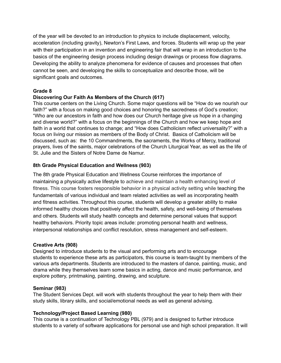of the year will be devoted to an introduction to physics to include displacement, velocity, acceleration (including gravity), Newton's First Laws, and forces. Students will wrap up the year with their participation in an invention and engineering fair that will wrap in an introduction to the basics of the engineering design process including design drawings or process flow diagrams. Developing the ability to analyze phenomena for evidence of causes and processes that often cannot be seen, and developing the skills to conceptualize and describe those, will be significant goals and outcomes.

# **Grade 8**

# **Discovering Our Faith As Members of the Church (617)**

This course centers on the Living Church. Some major questions will be "How do we nourish our faith?" with a focus on making good choices and honoring the sacredness of God's creation; "Who are our ancestors in faith and how does our Church heritage give us hope in a changing and diverse world?" with a focus on the beginnings of the Church and how we keep hope and faith in a world that continues to change; and "How does Catholicism reflect universality?" with a focus on living our mission as members of the Body of Christ. Basics of Catholicism will be discussed, such as: the 10 Commandments, the sacraments, the Works of Mercy, traditional prayers, lives of the saints, major celebrations of the Church Liturgical Year, as well as the life of St. Julie and the Sisters of Notre Dame de Namur.

# **8th Grade Physical Education and Wellness (903)**

The 8th grade Physical Education and Wellness Course reinforces the importance of maintaining a physically active lifestyle to achieve and maintain a health enhancing level of fitness. This course fosters responsible behavior in a physical activity setting while teaching the fundamentals of various individual and team related activities as well as incorporating health and fitness activities. Throughout this course, students will develop a greater ability to make informed healthy choices that positively affect the health, safety, and well-being of themselves and others. Students will study health concepts and determine personal values that support healthy behaviors. Priority topic areas include: promoting personal health and wellness, interpersonal relationships and conflict resolution, stress management and self-esteem.

# **Creative Arts (908)**

Designed to introduce students to the visual and performing arts and to encourage students to experience these arts as participators, this course is team-taught by members of the various arts departments. Students are introduced to the masters of dance, painting, music, and drama while they themselves learn some basics in acting, dance and music performance, and explore pottery, printmaking, painting, drawing, and sculpture.

# **Seminar (983)**

The Student Services Dept. will work with students throughout the year to help them with their study skills, library skills, and social/emotional needs as well as general advising.

# **Technology/Project Based Learning (980)**

This course is a continuation of Technology PBL (979) and is designed to further introduce students to a variety of software applications for personal use and high school preparation. It will